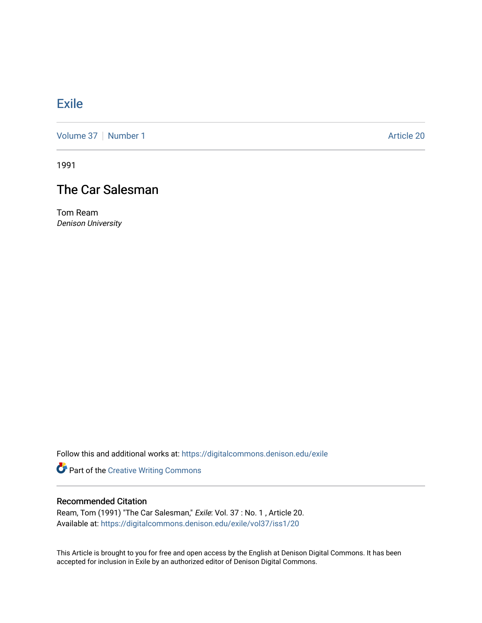## [Exile](https://digitalcommons.denison.edu/exile)

[Volume 37](https://digitalcommons.denison.edu/exile/vol37) | [Number 1](https://digitalcommons.denison.edu/exile/vol37/iss1) Article 20

1991

## The Car Salesman

Tom Ream Denison University

Follow this and additional works at: [https://digitalcommons.denison.edu/exile](https://digitalcommons.denison.edu/exile?utm_source=digitalcommons.denison.edu%2Fexile%2Fvol37%2Fiss1%2F20&utm_medium=PDF&utm_campaign=PDFCoverPages) 

Part of the [Creative Writing Commons](http://network.bepress.com/hgg/discipline/574?utm_source=digitalcommons.denison.edu%2Fexile%2Fvol37%2Fiss1%2F20&utm_medium=PDF&utm_campaign=PDFCoverPages) 

## Recommended Citation

Ream, Tom (1991) "The Car Salesman," Exile: Vol. 37 : No. 1 , Article 20. Available at: [https://digitalcommons.denison.edu/exile/vol37/iss1/20](https://digitalcommons.denison.edu/exile/vol37/iss1/20?utm_source=digitalcommons.denison.edu%2Fexile%2Fvol37%2Fiss1%2F20&utm_medium=PDF&utm_campaign=PDFCoverPages)

This Article is brought to you for free and open access by the English at Denison Digital Commons. It has been accepted for inclusion in Exile by an authorized editor of Denison Digital Commons.